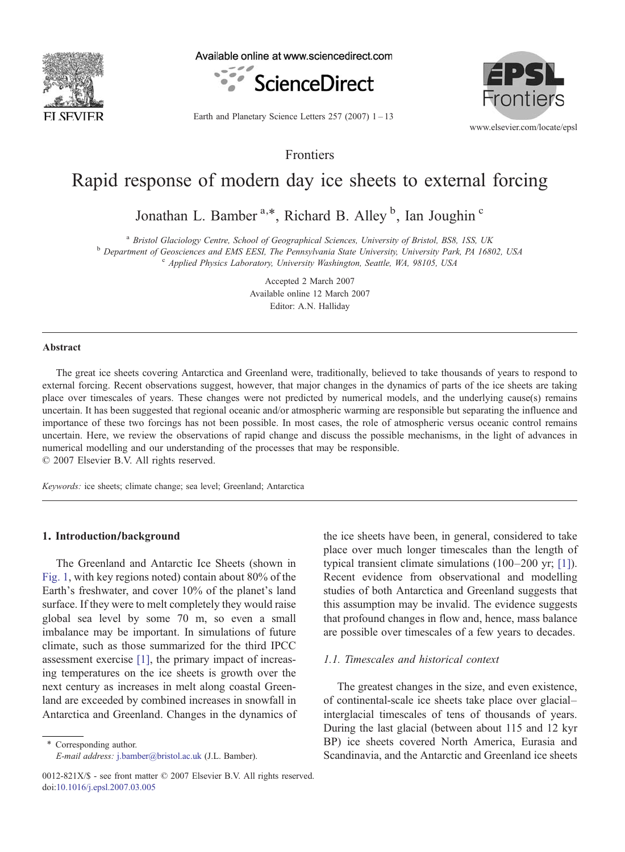

Available online at www.sciencedirect.com



Earth and Planetary Science Letters  $257 (2007)$  1 – 13

www.elsevier.com/locate/epsl

**Frontiers** 

EPSI

Frontiers

# Rapid response of modern day ice sheets to external forcing

Jonathan L. Bamber<sup>a,\*</sup>, Richard B. Alley<sup>b</sup>, Ian Joughin<sup>c</sup>

<sup>a</sup> Bristol Glaciology Centre, School of Geographical Sciences, University of Bristol, BS8, 1SS, UK<br><sup>b</sup> Department of Geosciences and EMS EESI, The Pennsylvania State University, University Park, PA 16802, USA<br><sup>c</sup> Applied

Accepted 2 March 2007 Editor: A.N. Halliday Available online 12 March 2007

## **Abstract**

The great ice sheets covering Antarctica and Greenland were, traditionally, believed to take thousands of years to respond to external forcing. Recent observations suggest, however, that major changes in the dynamics of parts of the ice sheets are taking place over timescales of years. These changes were not predicted by numerical models, and the underlying cause(s) remains uncertain. It has been suggested that regional oceanic and/or atmospheric warming are responsible but separating the influence and importance of these two forcings has not been possible. In most cases, the role of atmospheric versus oceanic control remains uncertain. Here, we review the observations of rapid change and discuss the possible mechanisms, in the light of advances in numerical modelling and our understanding of the processes that may be responsible.

© 2007 Elsevier B.V. All rights reserved.

Keywords: ice sheets; climate change; sea level; Greenland; Antarctica

#### 1. Introduction/background

The Greenland and Antarctic Ice Sheets (shown in [Fig. 1,](#page-1-0) with key regions noted) contain about 80% of the Earth's freshwater, and cover 10% of the planet's land surface. If they were to melt completely they would raise global sea level by some 70 m, so even a small imbalance may be important. In simulations of future climate, such as those summarized for the third IPCC assessment exercise [\[1\],](#page-10-0) the primary impact of increasing temperatures on the ice sheets is growth over the next century as increases in melt along coastal Greenland are exceeded by combined increases in snowfall in Antarctica and Greenland. Changes in the dynamics of

⁎ Corresponding author. E-mail address: [j.bamber@bristol.ac.uk](mailto:j.bamber@bristol.ac.uk) (J.L. Bamber). the ice sheets have been, in general, considered to take place over much longer timescales than the length of typical transient climate simulations (100–200 yr; [\[1\]](#page-10-0)). Recent evidence from observational and modelling studies of both Antarctica and Greenland suggests that this assumption may be invalid. The evidence suggests that profound changes in flow and, hence, mass balance are possible over timescales of a few years to decades.

## 1.1. Timescales and historical context

The greatest changes in the size, and even existence, of continental-scale ice sheets take place over glacial– interglacial timescales of tens of thousands of years. During the last glacial (between about 115 and 12 kyr BP) ice sheets covered North America, Eurasia and Scandinavia, and the Antarctic and Greenland ice sheets

<sup>0012-821</sup>X/\$ - see front matter © 2007 Elsevier B.V. All rights reserved. doi[:10.1016/j.epsl.2007.03.005](http://dx.doi.org/10.1016/j.epsl.2007.03.005)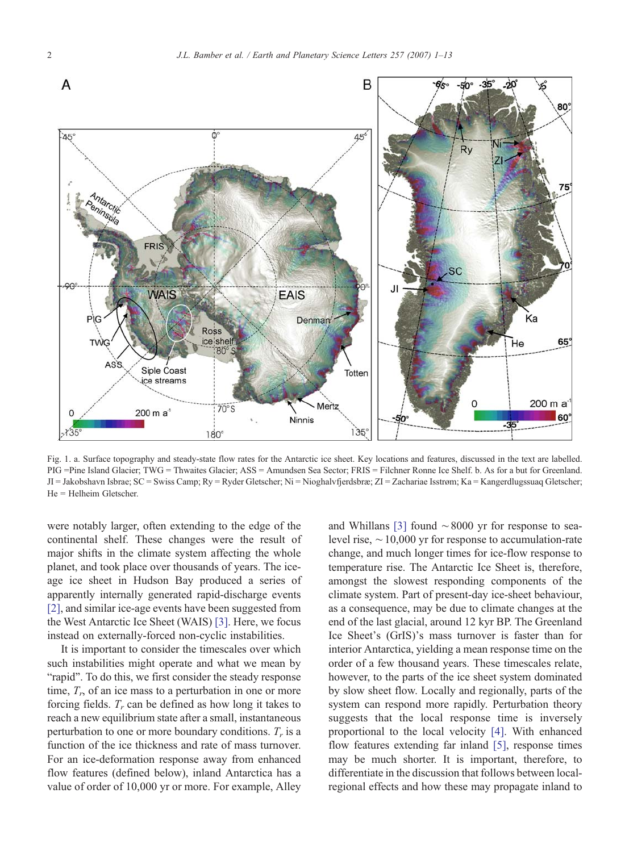<span id="page-1-0"></span>

Fig. 1. a. Surface topography and steady-state flow rates for the Antarctic ice sheet. Key locations and features, discussed in the text are labelled. PIG =Pine Island Glacier; TWG = Thwaites Glacier; ASS = Amundsen Sea Sector; FRIS = Filchner Ronne Ice Shelf. b. As for a but for Greenland. JI = Jakobshavn Isbrae; SC = Swiss Camp; Ry = Ryder Gletscher; Ni = Nioghalvfjerdsbræ; ZI = Zachariae Isstrøm; Ka = Kangerdlugssuaq Gletscher; He = Helheim Gletscher.

were notably larger, often extending to the edge of the continental shelf. These changes were the result of major shifts in the climate system affecting the whole planet, and took place over thousands of years. The iceage ice sheet in Hudson Bay produced a series of apparently internally generated rapid-discharge events [\[2\],](#page-10-0) and similar ice-age events have been suggested from the West Antarctic Ice Sheet (WAIS) [\[3\].](#page-10-0) Here, we focus instead on externally-forced non-cyclic instabilities.

It is important to consider the timescales over which such instabilities might operate and what we mean by "rapid". To do this, we first consider the steady response time,  $T_r$ , of an ice mass to a perturbation in one or more forcing fields.  $T_r$  can be defined as how long it takes to reach a new equilibrium state after a small, instantaneous perturbation to one or more boundary conditions.  $T_r$  is a function of the ice thickness and rate of mass turnover. For an ice-deformation response away from enhanced flow features (defined below), inland Antarctica has a value of order of 10,000 yr or more. For example, Alley

and Whillans [\[3\]](#page-10-0) found ∼8000 yr for response to sealevel rise, ∼10,000 yr for response to accumulation-rate change, and much longer times for ice-flow response to temperature rise. The Antarctic Ice Sheet is, therefore, amongst the slowest responding components of the climate system. Part of present-day ice-sheet behaviour, as a consequence, may be due to climate changes at the end of the last glacial, around 12 kyr BP. The Greenland Ice Sheet's (GrIS)'s mass turnover is faster than for interior Antarctica, yielding a mean response time on the order of a few thousand years. These timescales relate, however, to the parts of the ice sheet system dominated by slow sheet flow. Locally and regionally, parts of the system can respond more rapidly. Perturbation theory suggests that the local response time is inversely proportional to the local velocity [\[4\]](#page-10-0). With enhanced flow features extending far inland [\[5\]](#page-10-0), response times may be much shorter. It is important, therefore, to differentiate in the discussion that follows between localregional effects and how these may propagate inland to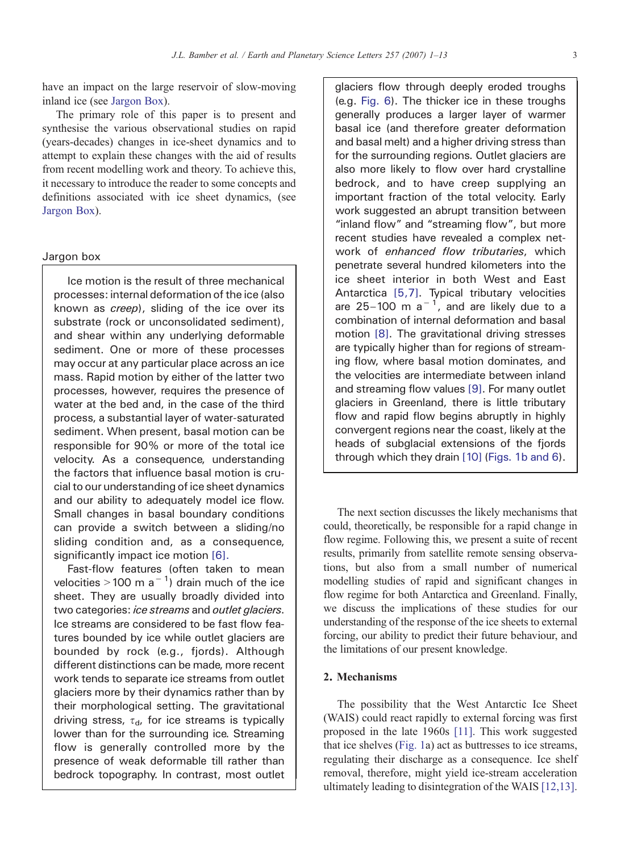have an impact on the large reservoir of slow-moving inland ice (see Jargon Box).

The primary role of this paper is to present and synthesise the various observational studies on rapid (years-decades) changes in ice-sheet dynamics and to attempt to explain these changes with the aid of results from recent modelling work and theory. To achieve this, it necessary to introduce the reader to some concepts and definitions associated with ice sheet dynamics, (see Jargon Box).

# Jargon box

Ice motion is the result of three mechanical processes: internal deformation of the ice (also known as creep), sliding of the ice over its substrate (rock or unconsolidated sediment), and shear within any underlying deformable sediment. One or more of these processes may occur at any particular place across an ice mass. Rapid motion by either of the latter two processes, however, requires the presence of water at the bed and, in the case of the third process, a substantial layer of water-saturated sediment. When present, basal motion can be responsible for 90% or more of the total ice velocity. As a consequence, understanding the factors that influence basal motion is crucial to our understanding of ice sheet dynamics and our ability to adequately model ice flow. Small changes in basal boundary conditions can provide a switch between a sliding/no sliding condition and, as a consequence, significantly impact ice motion [\[6\].](#page-10-0)

Fast-flow features (often taken to mean velocities > 100 m a<sup>-1</sup>) drain much of the ice sheet. They are usually broadly divided into two categories: ice streams and outlet glaciers. Ice streams are considered to be fast flow features bounded by ice while outlet glaciers are bounded by rock (e.g., fjords). Although different distinctions can be made, more recent work tends to separate ice streams from outlet glaciers more by their dynamics rather than by their morphological setting. The gravitational driving stress,  $\tau_{d}$ , for ice streams is typically lower than for the surrounding ice. Streaming flow is generally controlled more by the presence of weak deformable till rather than bedrock topography. In contrast, most outlet

glaciers flow through deeply eroded troughs (e.g. [Fig. 6\). The thicker ice in these troughs](#page-9-0) [generally produces a larger layer of warmer](#page-9-0) [basal ice \(and therefore greater deformation](#page-9-0) [and basal melt\) and a higher driving stress than](#page-9-0) [for the surrounding regions. Outlet glaciers are](#page-9-0) [also more likely to flow over hard crystalline](#page-9-0) [bedrock, and to have creep supplying an](#page-9-0) [important fraction of the total velocity. Early](#page-9-0) [work suggested an abrupt transition between](#page-9-0) "inland flow" and "[streaming flow](#page-9-0)", but more [recent studies have revealed a complex net](#page-9-0)work of [enhanced flow tributaries](#page-9-0), which [penetrate several hundred kilometers into the](#page-9-0) [ice sheet interior in both West and East](#page-9-0) Antarctica [\[5,7\]. Typical tributary velocities](#page-10-0) are 25–100 m  $a^{-1}$ [, and are likely due to a](#page-10-0) [combination of internal deformation and basal](#page-10-0) motion [\[8\]. The gravitational driving stresses](#page-10-0) [are typically higher than for regions of stream](#page-10-0)[ing flow, where basal motion dominates, and](#page-10-0) [the velocities are intermediate between inland](#page-10-0) [and streaming flow values](#page-10-0) [9]. For many outlet [glaciers in Greenland, there is little tributary](#page-10-0) [flow and rapid flow begins abruptly in highly](#page-10-0) [convergent regions near the coast, likely at the](#page-10-0) [heads of subglacial extensions of the fjords](#page-10-0) [through which they drain](#page-1-0) [10] (Figs. 1b and 6).

The next section discusses the likely mechanisms that could, theoretically, be responsible for a rapid change in flow regime. Following this, we present a suite of recent results, primarily from satellite remote sensing observations, but also from a small number of numerical modelling studies of rapid and significant changes in flow regime for both Antarctica and Greenland. Finally, we discuss the implications of these studies for our understanding of the response of the ice sheets to external forcing, our ability to predict their future behaviour, and the limitations of our present knowledge.

# 2. Mechanisms

The possibility that the West Antarctic Ice Sheet (WAIS) could react rapidly to external forcing was first proposed in the late 1960s [\[11\].](#page-10-0) This work suggested that ice shelves ([Fig. 1a](#page-1-0)) act as buttresses to ice streams, regulating their discharge as a consequence. Ice shelf removal, therefore, might yield ice-stream acceleration ultimately leading to disintegration of the WAIS [\[12,13\].](#page-10-0)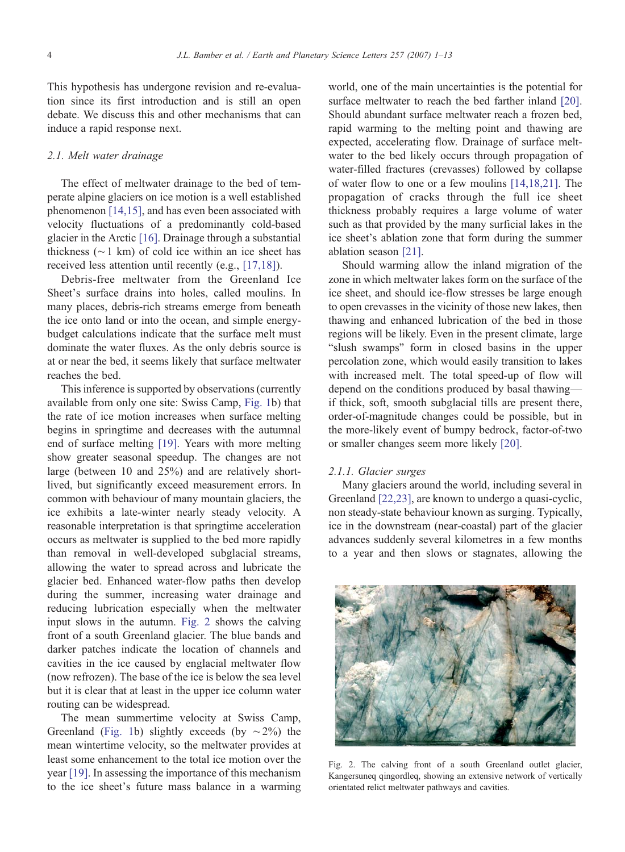This hypothesis has undergone revision and re-evaluation since its first introduction and is still an open debate. We discuss this and other mechanisms that can induce a rapid response next.

# 2.1. Melt water drainage

The effect of meltwater drainage to the bed of temperate alpine glaciers on ice motion is a well established phenomenon [\[14,15\],](#page-10-0) and has even been associated with velocity fluctuations of a predominantly cold-based glacier in the Arctic [\[16\]](#page-10-0). Drainage through a substantial thickness (∼1 km) of cold ice within an ice sheet has received less attention until recently (e.g., [\[17,18\]\)](#page-10-0).

Debris-free meltwater from the Greenland Ice Sheet's surface drains into holes, called moulins. In many places, debris-rich streams emerge from beneath the ice onto land or into the ocean, and simple energybudget calculations indicate that the surface melt must dominate the water fluxes. As the only debris source is at or near the bed, it seems likely that surface meltwater reaches the bed.

This inference is supported by observations (currently available from only one site: Swiss Camp, [Fig. 1b](#page-1-0)) that the rate of ice motion increases when surface melting begins in springtime and decreases with the autumnal end of surface melting [\[19\]](#page-10-0). Years with more melting show greater seasonal speedup. The changes are not large (between 10 and 25%) and are relatively shortlived, but significantly exceed measurement errors. In common with behaviour of many mountain glaciers, the ice exhibits a late-winter nearly steady velocity. A reasonable interpretation is that springtime acceleration occurs as meltwater is supplied to the bed more rapidly than removal in well-developed subglacial streams, allowing the water to spread across and lubricate the glacier bed. Enhanced water-flow paths then develop during the summer, increasing water drainage and reducing lubrication especially when the meltwater input slows in the autumn. Fig. 2 shows the calving front of a south Greenland glacier. The blue bands and darker patches indicate the location of channels and cavities in the ice caused by englacial meltwater flow (now refrozen). The base of the ice is below the sea level but it is clear that at least in the upper ice column water routing can be widespread.

The mean summertime velocity at Swiss Camp, Greenland ([Fig. 1b](#page-1-0)) slightly exceeds (by  $\sim$ 2%) the mean wintertime velocity, so the meltwater provides at least some enhancement to the total ice motion over the year [\[19\].](#page-10-0) In assessing the importance of this mechanism to the ice sheet's future mass balance in a warming world, one of the main uncertainties is the potential for surface meltwater to reach the bed farther inland [\[20\].](#page-10-0) Should abundant surface meltwater reach a frozen bed, rapid warming to the melting point and thawing are expected, accelerating flow. Drainage of surface meltwater to the bed likely occurs through propagation of water-filled fractures (crevasses) followed by collapse of water flow to one or a few moulins [\[14,18,21\]](#page-10-0). The propagation of cracks through the full ice sheet thickness probably requires a large volume of water such as that provided by the many surficial lakes in the ice sheet's ablation zone that form during the summer ablation season [\[21\].](#page-10-0)

Should warming allow the inland migration of the zone in which meltwater lakes form on the surface of the ice sheet, and should ice-flow stresses be large enough to open crevasses in the vicinity of those new lakes, then thawing and enhanced lubrication of the bed in those regions will be likely. Even in the present climate, large "slush swamps" form in closed basins in the upper percolation zone, which would easily transition to lakes with increased melt. The total speed-up of flow will depend on the conditions produced by basal thawing if thick, soft, smooth subglacial tills are present there, order-of-magnitude changes could be possible, but in the more-likely event of bumpy bedrock, factor-of-two or smaller changes seem more likely [\[20\].](#page-10-0)

#### 2.1.1. Glacier surges

Many glaciers around the world, including several in Greenland [\[22,23\]](#page-10-0), are known to undergo a quasi-cyclic, non steady-state behaviour known as surging. Typically, ice in the downstream (near-coastal) part of the glacier advances suddenly several kilometres in a few months to a year and then slows or stagnates, allowing the



Fig. 2. The calving front of a south Greenland outlet glacier, Kangersuneq qingordleq, showing an extensive network of vertically orientated relict meltwater pathways and cavities.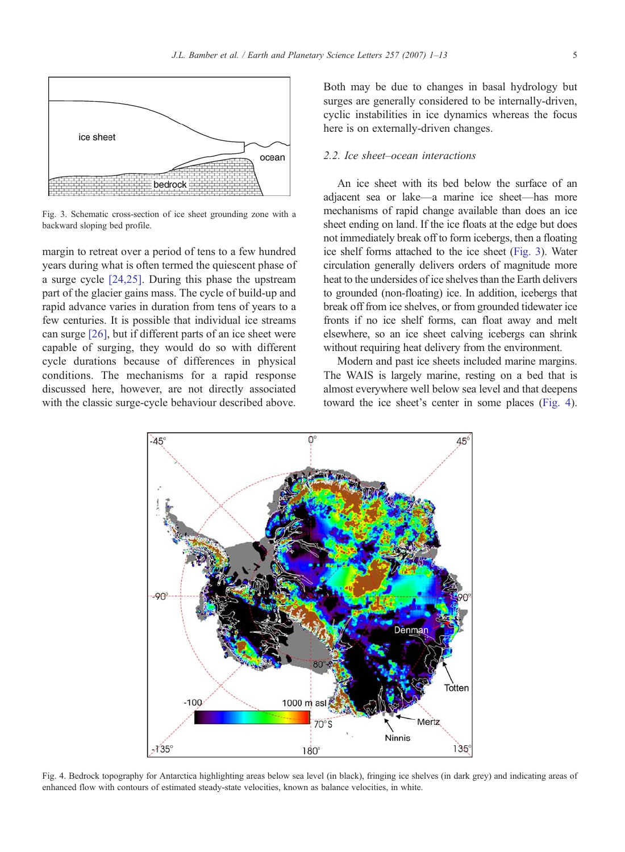<span id="page-4-0"></span>

Fig. 3. Schematic cross-section of ice sheet grounding zone with a backward sloping bed profile.

margin to retreat over a period of tens to a few hundred years during what is often termed the quiescent phase of a surge cycle [\[24,25\].](#page-10-0) During this phase the upstream part of the glacier gains mass. The cycle of build-up and rapid advance varies in duration from tens of years to a few centuries. It is possible that individual ice streams can surge [\[26\]](#page-10-0), but if different parts of an ice sheet were capable of surging, they would do so with different cycle durations because of differences in physical conditions. The mechanisms for a rapid response discussed here, however, are not directly associated with the classic surge-cycle behaviour described above.

Both may be due to changes in basal hydrology but surges are generally considered to be internally-driven, cyclic instabilities in ice dynamics whereas the focus here is on externally-driven changes.

## 2.2. Ice sheet–ocean interactions

An ice sheet with its bed below the surface of an adjacent sea or lake—a marine ice sheet—has more mechanisms of rapid change available than does an ice sheet ending on land. If the ice floats at the edge but does not immediately break off to form icebergs, then a floating ice shelf forms attached to the ice sheet (Fig. 3). Water circulation generally delivers orders of magnitude more heat to the undersides of ice shelves than the Earth delivers to grounded (non-floating) ice. In addition, icebergs that break off from ice shelves, or from grounded tidewater ice fronts if no ice shelf forms, can float away and melt elsewhere, so an ice sheet calving icebergs can shrink without requiring heat delivery from the environment.

Modern and past ice sheets included marine margins. The WAIS is largely marine, resting on a bed that is almost everywhere well below sea level and that deepens toward the ice sheet's center in some places (Fig. 4).



Fig. 4. Bedrock topography for Antarctica highlighting areas below sea level (in black), fringing ice shelves (in dark grey) and indicating areas of enhanced flow with contours of estimated steady-state velocities, known as balance velocities, in white.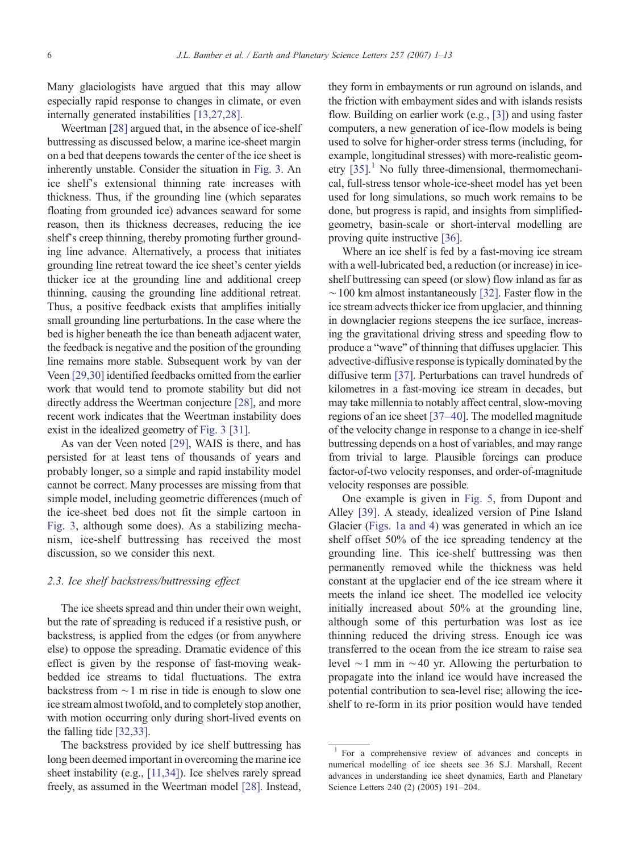Many glaciologists have argued that this may allow especially rapid response to changes in climate, or even internally generated instabilities [\[13,27,28\]](#page-10-0).

Weertman [\[28\]](#page-10-0) argued that, in the absence of ice-shelf buttressing as discussed below, a marine ice-sheet margin on a bed that deepens towards the center of the ice sheet is inherently unstable. Consider the situation in [Fig. 3.](#page-4-0) An ice shelf's extensional thinning rate increases with thickness. Thus, if the grounding line (which separates floating from grounded ice) advances seaward for some reason, then its thickness decreases, reducing the ice shelf's creep thinning, thereby promoting further grounding line advance. Alternatively, a process that initiates grounding line retreat toward the ice sheet's center yields thicker ice at the grounding line and additional creep thinning, causing the grounding line additional retreat. Thus, a positive feedback exists that amplifies initially small grounding line perturbations. In the case where the bed is higher beneath the ice than beneath adjacent water, the feedback is negative and the position of the grounding line remains more stable. Subsequent work by van der Veen [\[29,30\]](#page-10-0) identified feedbacks omitted from the earlier work that would tend to promote stability but did not directly address the Weertman conjecture [\[28\]](#page-10-0), and more recent work indicates that the Weertman instability does exist in the idealized geometry of [Fig. 3](#page-4-0) [\[31\].](#page-10-0)

As van der Veen noted [\[29\]](#page-10-0), WAIS is there, and has persisted for at least tens of thousands of years and probably longer, so a simple and rapid instability model cannot be correct. Many processes are missing from that simple model, including geometric differences (much of the ice-sheet bed does not fit the simple cartoon in [Fig. 3,](#page-4-0) although some does). As a stabilizing mechanism, ice-shelf buttressing has received the most discussion, so we consider this next.

## 2.3. Ice shelf backstress/buttressing effect

The ice sheets spread and thin under their own weight, but the rate of spreading is reduced if a resistive push, or backstress, is applied from the edges (or from anywhere else) to oppose the spreading. Dramatic evidence of this effect is given by the response of fast-moving weakbedded ice streams to tidal fluctuations. The extra backstress from ∼1 m rise in tide is enough to slow one ice stream almost twofold, and to completely stop another, with motion occurring only during short-lived events on the falling tide [\[32,33\].](#page-10-0)

The backstress provided by ice shelf buttressing has long been deemed important in overcoming the marine ice sheet instability (e.g., [\[11,34\]](#page-10-0)). Ice shelves rarely spread freely, as assumed in the Weertman model [\[28\].](#page-10-0) Instead,

they form in embayments or run aground on islands, and the friction with embayment sides and with islands resists flow. Building on earlier work (e.g., [\[3\]](#page-10-0)) and using faster computers, a new generation of ice-flow models is being used to solve for higher-order stress terms (including, for example, longitudinal stresses) with more-realistic geometry [\[35\].](#page-11-0) <sup>1</sup> No fully three-dimensional, thermomechanical, full-stress tensor whole-ice-sheet model has yet been used for long simulations, so much work remains to be done, but progress is rapid, and insights from simplifiedgeometry, basin-scale or short-interval modelling are proving quite instructive [\[36\].](#page-11-0)

Where an ice shelf is fed by a fast-moving ice stream with a well-lubricated bed, a reduction (or increase) in iceshelf buttressing can speed (or slow) flow inland as far as  $~\sim$  100 km almost instantaneously [\[32\]](#page-10-0). Faster flow in the ice stream advects thicker ice from upglacier, and thinning in downglacier regions steepens the ice surface, increasing the gravitational driving stress and speeding flow to produce a "wave" of thinning that diffuses upglacier. This advective-diffusive response is typically dominated by the diffusive term [\[37\].](#page-11-0) Perturbations can travel hundreds of kilometres in a fast-moving ice stream in decades, but may take millennia to notably affect central, slow-moving regions of an ice sheet [\[37](#page-11-0)–40]. The modelled magnitude of the velocity change in response to a change in ice-shelf buttressing depends on a host of variables, and may range from trivial to large. Plausible forcings can produce factor-of-two velocity responses, and order-of-magnitude velocity responses are possible.

One example is given in [Fig. 5](#page-6-0), from Dupont and Alley [\[39\].](#page-11-0) A steady, idealized version of Pine Island Glacier [\(Figs. 1a and 4](#page-1-0)) was generated in which an ice shelf offset 50% of the ice spreading tendency at the grounding line. This ice-shelf buttressing was then permanently removed while the thickness was held constant at the upglacier end of the ice stream where it meets the inland ice sheet. The modelled ice velocity initially increased about 50% at the grounding line, although some of this perturbation was lost as ice thinning reduced the driving stress. Enough ice was transferred to the ocean from the ice stream to raise sea level ∼1 mm in ∼40 yr. Allowing the perturbation to propagate into the inland ice would have increased the potential contribution to sea-level rise; allowing the iceshelf to re-form in its prior position would have tended

<sup>1</sup> For a comprehensive review of advances and concepts in numerical modelling of ice sheets see 36 S.J. Marshall, Recent advances in understanding ice sheet dynamics, Earth and Planetary Science Letters 240 (2) (2005) 191–204.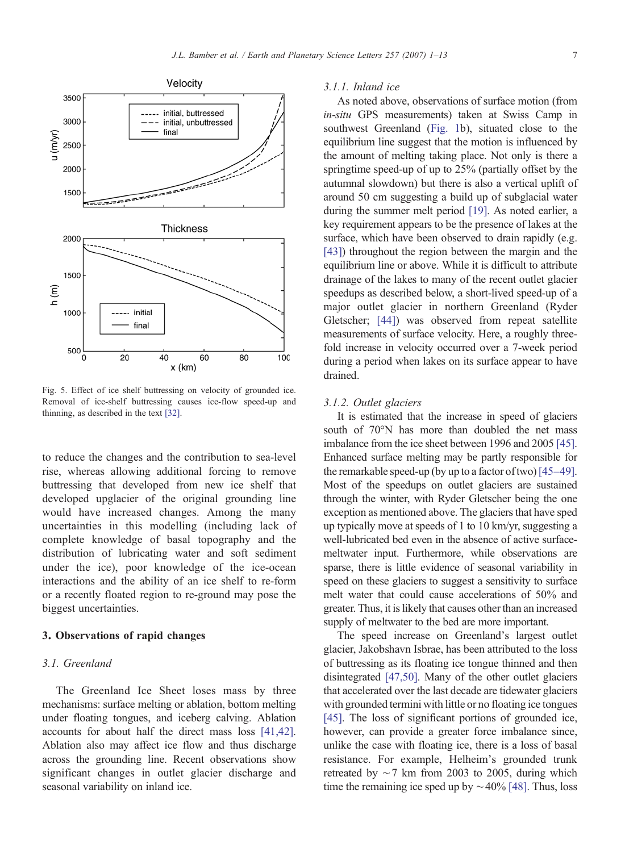<span id="page-6-0"></span>

Fig. 5. Effect of ice shelf buttressing on velocity of grounded ice. Removal of ice-shelf buttressing causes ice-flow speed-up and thinning, as described in the text [\[32\].](#page-10-0)

to reduce the changes and the contribution to sea-level rise, whereas allowing additional forcing to remove buttressing that developed from new ice shelf that developed upglacier of the original grounding line would have increased changes. Among the many uncertainties in this modelling (including lack of complete knowledge of basal topography and the distribution of lubricating water and soft sediment under the ice), poor knowledge of the ice-ocean interactions and the ability of an ice shelf to re-form or a recently floated region to re-ground may pose the biggest uncertainties.

## 3. Observations of rapid changes

## 3.1. Greenland

The Greenland Ice Sheet loses mass by three mechanisms: surface melting or ablation, bottom melting under floating tongues, and iceberg calving. Ablation accounts for about half the direct mass loss [\[41,42\].](#page-11-0) Ablation also may affect ice flow and thus discharge across the grounding line. Recent observations show significant changes in outlet glacier discharge and seasonal variability on inland ice.

#### 3.1.1. Inland ice

As noted above, observations of surface motion (from in-situ GPS measurements) taken at Swiss Camp in southwest Greenland [\(Fig. 1](#page-1-0)b), situated close to the equilibrium line suggest that the motion is influenced by the amount of melting taking place. Not only is there a springtime speed-up of up to 25% (partially offset by the autumnal slowdown) but there is also a vertical uplift of around 50 cm suggesting a build up of subglacial water during the summer melt period [\[19\]](#page-10-0). As noted earlier, a key requirement appears to be the presence of lakes at the surface, which have been observed to drain rapidly (e.g. [\[43\]\)](#page-11-0) throughout the region between the margin and the equilibrium line or above. While it is difficult to attribute drainage of the lakes to many of the recent outlet glacier speedups as described below, a short-lived speed-up of a major outlet glacier in northern Greenland (Ryder Gletscher; [\[44\]\)](#page-11-0) was observed from repeat satellite measurements of surface velocity. Here, a roughly threefold increase in velocity occurred over a 7-week period during a period when lakes on its surface appear to have drained.

#### 3.1.2. Outlet glaciers

It is estimated that the increase in speed of glaciers south of 70°N has more than doubled the net mass imbalance from the ice sheet between 1996 and 2005 [\[45\].](#page-11-0) Enhanced surface melting may be partly responsible for the remarkable speed-up (by up to a factor of two)[\[45](#page-11-0)–49]. Most of the speedups on outlet glaciers are sustained through the winter, with Ryder Gletscher being the one exception as mentioned above. The glaciers that have sped up typically move at speeds of 1 to 10 km/yr, suggesting a well-lubricated bed even in the absence of active surfacemeltwater input. Furthermore, while observations are sparse, there is little evidence of seasonal variability in speed on these glaciers to suggest a sensitivity to surface melt water that could cause accelerations of 50% and greater. Thus, it is likely that causes other than an increased supply of meltwater to the bed are more important.

The speed increase on Greenland's largest outlet glacier, Jakobshavn Isbrae, has been attributed to the loss of buttressing as its floating ice tongue thinned and then disintegrated [\[47,50\].](#page-11-0) Many of the other outlet glaciers that accelerated over the last decade are tidewater glaciers with grounded termini with little or no floating ice tongues [\[45\].](#page-11-0) The loss of significant portions of grounded ice, however, can provide a greater force imbalance since, unlike the case with floating ice, there is a loss of basal resistance. For example, Helheim's grounded trunk retreated by  $\sim$  7 km from 2003 to 2005, during which time the remaining ice sped up by  $\sim$ 40% [\[48\]](#page-11-0). Thus, loss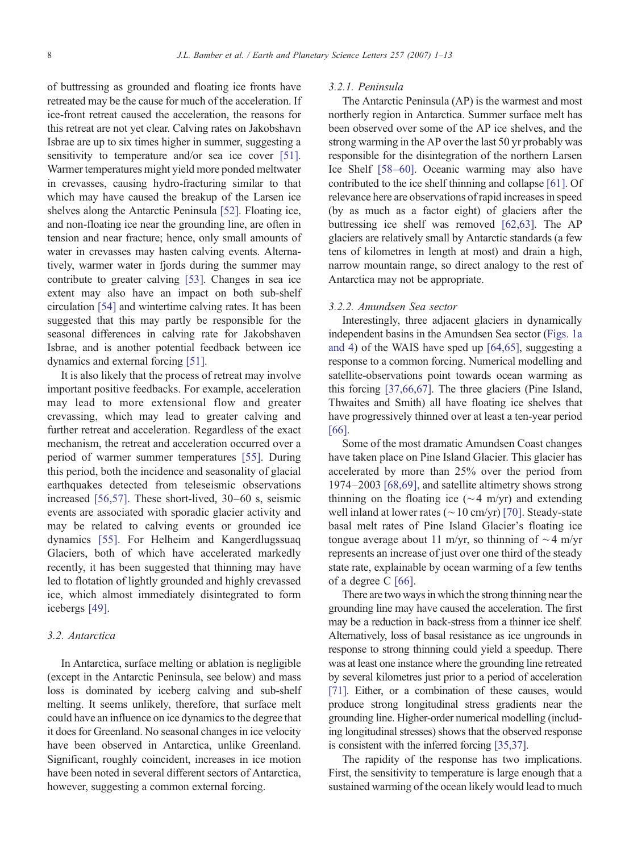of buttressing as grounded and floating ice fronts have retreated may be the cause for much of the acceleration. If ice-front retreat caused the acceleration, the reasons for this retreat are not yet clear. Calving rates on Jakobshavn Isbrae are up to six times higher in summer, suggesting a sensitivity to temperature and/or sea ice cover [\[51\].](#page-11-0) Warmer temperatures might yield more ponded meltwater in crevasses, causing hydro-fracturing similar to that which may have caused the breakup of the Larsen ice shelves along the Antarctic Peninsula [\[52\].](#page-11-0) Floating ice, and non-floating ice near the grounding line, are often in tension and near fracture; hence, only small amounts of water in crevasses may hasten calving events. Alternatively, warmer water in fjords during the summer may contribute to greater calving [\[53\]](#page-11-0). Changes in sea ice extent may also have an impact on both sub-shelf circulation [\[54\]](#page-11-0) and wintertime calving rates. It has been suggested that this may partly be responsible for the seasonal differences in calving rate for Jakobshaven Isbrae, and is another potential feedback between ice dynamics and external forcing [\[51\]](#page-11-0).

It is also likely that the process of retreat may involve important positive feedbacks. For example, acceleration may lead to more extensional flow and greater crevassing, which may lead to greater calving and further retreat and acceleration. Regardless of the exact mechanism, the retreat and acceleration occurred over a period of warmer summer temperatures [\[55\]](#page-11-0). During this period, both the incidence and seasonality of glacial earthquakes detected from teleseismic observations increased [\[56,57\].](#page-11-0) These short-lived, 30–60 s, seismic events are associated with sporadic glacier activity and may be related to calving events or grounded ice dynamics [\[55\]](#page-11-0). For Helheim and Kangerdlugssuaq Glaciers, both of which have accelerated markedly recently, it has been suggested that thinning may have led to flotation of lightly grounded and highly crevassed ice, which almost immediately disintegrated to form icebergs [\[49\]](#page-11-0).

# 3.2. Antarctica

In Antarctica, surface melting or ablation is negligible (except in the Antarctic Peninsula, see below) and mass loss is dominated by iceberg calving and sub-shelf melting. It seems unlikely, therefore, that surface melt could have an influence on ice dynamics to the degree that it does for Greenland. No seasonal changes in ice velocity have been observed in Antarctica, unlike Greenland. Significant, roughly coincident, increases in ice motion have been noted in several different sectors of Antarctica, however, suggesting a common external forcing.

#### 3.2.1. Peninsula

The Antarctic Peninsula (AP) is the warmest and most northerly region in Antarctica. Summer surface melt has been observed over some of the AP ice shelves, and the strong warming in the AP over the last 50 yr probably was responsible for the disintegration of the northern Larsen Ice Shelf [58–[60\].](#page-11-0) Oceanic warming may also have contributed to the ice shelf thinning and collapse [\[61\]](#page-11-0). Of relevance here are observations of rapid increases in speed (by as much as a factor eight) of glaciers after the buttressing ice shelf was removed [\[62,63\]](#page-11-0). The AP glaciers are relatively small by Antarctic standards (a few tens of kilometres in length at most) and drain a high, narrow mountain range, so direct analogy to the rest of Antarctica may not be appropriate.

## 3.2.2. Amundsen Sea sector

Interestingly, three adjacent glaciers in dynamically independent basins in the Amundsen Sea sector ([Figs. 1a](#page-1-0) [and 4](#page-1-0)) of the WAIS have sped up [\[64,65\],](#page-11-0) suggesting a response to a common forcing. Numerical modelling and satellite-observations point towards ocean warming as this forcing [\[37,66,67\].](#page-11-0) The three glaciers (Pine Island, Thwaites and Smith) all have floating ice shelves that have progressively thinned over at least a ten-year period [\[66\]](#page-11-0).

Some of the most dramatic Amundsen Coast changes have taken place on Pine Island Glacier. This glacier has accelerated by more than 25% over the period from 1974–2003 [\[68,69\]](#page-11-0), and satellite altimetry shows strong thinning on the floating ice ( $\sim$ 4 m/yr) and extending well inland at lower rates (∼10 cm/yr) [\[70\].](#page-11-0) Steady-state basal melt rates of Pine Island Glacier's floating ice tongue average about 11 m/yr, so thinning of  $\sim$ 4 m/yr represents an increase of just over one third of the steady state rate, explainable by ocean warming of a few tenths of a degree C [\[66\]](#page-11-0).

There are two ways in which the strong thinning near the grounding line may have caused the acceleration. The first may be a reduction in back-stress from a thinner ice shelf. Alternatively, loss of basal resistance as ice ungrounds in response to strong thinning could yield a speedup. There was at least one instance where the grounding line retreated by several kilometres just prior to a period of acceleration [\[71\].](#page-11-0) Either, or a combination of these causes, would produce strong longitudinal stress gradients near the grounding line. Higher-order numerical modelling (including longitudinal stresses) shows that the observed response is consistent with the inferred forcing [\[35,37\]](#page-11-0).

The rapidity of the response has two implications. First, the sensitivity to temperature is large enough that a sustained warming of the ocean likely would lead to much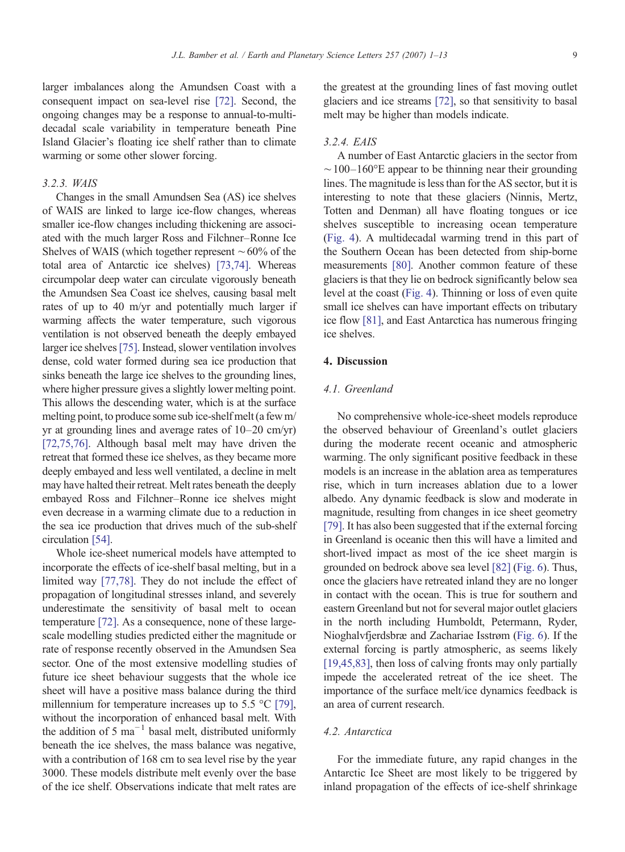### 3.2.3. WAIS

Changes in the small Amundsen Sea (AS) ice shelves of WAIS are linked to large ice-flow changes, whereas smaller ice-flow changes including thickening are associated with the much larger Ross and Filchner–Ronne Ice Shelves of WAIS (which together represent ∼60% of the total area of Antarctic ice shelves) [\[73,74\]](#page-11-0). Whereas circumpolar deep water can circulate vigorously beneath the Amundsen Sea Coast ice shelves, causing basal melt rates of up to 40 m/yr and potentially much larger if warming affects the water temperature, such vigorous ventilation is not observed beneath the deeply embayed larger ice shelves[\[75\].](#page-11-0) Instead, slower ventilation involves dense, cold water formed during sea ice production that sinks beneath the large ice shelves to the grounding lines, where higher pressure gives a slightly lower melting point. This allows the descending water, which is at the surface melting point, to produce some sub ice-shelf melt (a few m/ yr at grounding lines and average rates of 10–20 cm/yr) [\[72,75,76\].](#page-11-0) Although basal melt may have driven the retreat that formed these ice shelves, as they became more deeply embayed and less well ventilated, a decline in melt may have halted their retreat. Melt rates beneath the deeply embayed Ross and Filchner–Ronne ice shelves might even decrease in a warming climate due to a reduction in the sea ice production that drives much of the sub-shelf circulation [\[54\].](#page-11-0)

Whole ice-sheet numerical models have attempted to incorporate the effects of ice-shelf basal melting, but in a limited way [\[77,78\]](#page-12-0). They do not include the effect of propagation of longitudinal stresses inland, and severely underestimate the sensitivity of basal melt to ocean temperature [\[72\]](#page-11-0). As a consequence, none of these largescale modelling studies predicted either the magnitude or rate of response recently observed in the Amundsen Sea sector. One of the most extensive modelling studies of future ice sheet behaviour suggests that the whole ice sheet will have a positive mass balance during the third millennium for temperature increases up to 5.5 °C [\[79\],](#page-12-0) without the incorporation of enhanced basal melt. With the addition of 5 ma<sup> $-1$ </sup> basal melt, distributed uniformly beneath the ice shelves, the mass balance was negative, with a contribution of 168 cm to sea level rise by the year 3000. These models distribute melt evenly over the base of the ice shelf. Observations indicate that melt rates are the greatest at the grounding lines of fast moving outlet glaciers and ice streams [\[72\]](#page-11-0), so that sensitivity to basal melt may be higher than models indicate.

# 3.2.4. EAIS

A number of East Antarctic glaciers in the sector from  $\sim$ 100–160°E appear to be thinning near their grounding lines. The magnitude is less than for the AS sector, but it is interesting to note that these glaciers (Ninnis, Mertz, Totten and Denman) all have floating tongues or ice shelves susceptible to increasing ocean temperature [\(Fig. 4](#page-4-0)). A multidecadal warming trend in this part of the Southern Ocean has been detected from ship-borne measurements [\[80\].](#page-12-0) Another common feature of these glaciers is that they lie on bedrock significantly below sea level at the coast [\(Fig. 4](#page-4-0)). Thinning or loss of even quite small ice shelves can have important effects on tributary ice flow [\[81\]](#page-12-0), and East Antarctica has numerous fringing ice shelves.

## 4. Discussion

# 4.1. Greenland

No comprehensive whole-ice-sheet models reproduce the observed behaviour of Greenland's outlet glaciers during the moderate recent oceanic and atmospheric warming. The only significant positive feedback in these models is an increase in the ablation area as temperatures rise, which in turn increases ablation due to a lower albedo. Any dynamic feedback is slow and moderate in magnitude, resulting from changes in ice sheet geometry [\[79\].](#page-12-0) It has also been suggested that if the external forcing in Greenland is oceanic then this will have a limited and short-lived impact as most of the ice sheet margin is grounded on bedrock above sea level [\[82\]](#page-12-0) [\(Fig. 6](#page-9-0)). Thus, once the glaciers have retreated inland they are no longer in contact with the ocean. This is true for southern and eastern Greenland but not for several major outlet glaciers in the north including Humboldt, Petermann, Ryder, Nioghalvfjerdsbræ and Zachariae Isstrøm [\(Fig. 6\)](#page-9-0). If the external forcing is partly atmospheric, as seems likely [\[19,45,83\]](#page-10-0), then loss of calving fronts may only partially impede the accelerated retreat of the ice sheet. The importance of the surface melt/ice dynamics feedback is an area of current research.

# 4.2. Antarctica

For the immediate future, any rapid changes in the Antarctic Ice Sheet are most likely to be triggered by inland propagation of the effects of ice-shelf shrinkage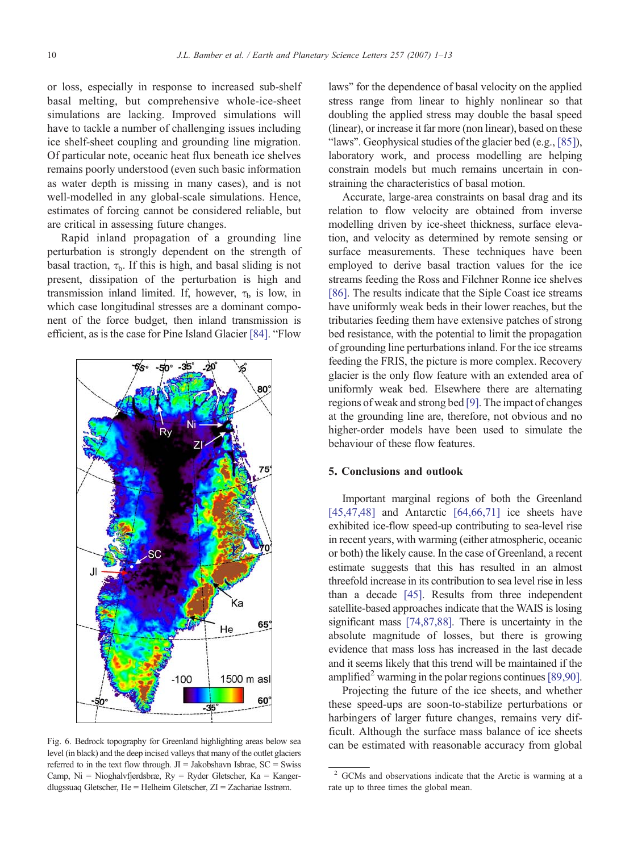<span id="page-9-0"></span>or loss, especially in response to increased sub-shelf basal melting, but comprehensive whole-ice-sheet simulations are lacking. Improved simulations will have to tackle a number of challenging issues including ice shelf-sheet coupling and grounding line migration. Of particular note, oceanic heat flux beneath ice shelves remains poorly understood (even such basic information as water depth is missing in many cases), and is not well-modelled in any global-scale simulations. Hence, estimates of forcing cannot be considered reliable, but are critical in assessing future changes.

Rapid inland propagation of a grounding line perturbation is strongly dependent on the strength of basal traction,  $\tau_{\rm b}$ . If this is high, and basal sliding is not present, dissipation of the perturbation is high and transmission inland limited. If, however,  $\tau_b$  is low, in which case longitudinal stresses are a dominant component of the force budget, then inland transmission is efficient, as is the case for Pine Island Glacier [\[84\]](#page-12-0). "Flow



level (in black) and the deep incised valleys that many of the outlet glaciers referred to in the text flow through.  $JI = Jakobshavn$  Isbrae,  $SC = Swiss$ Camp,  $Ni = Nioghalv$ fjerdsbræ,  $Ry = Ryder$  Gletscher,  $Ka = Kanger$ dlugssuaq Gletscher, He = Helheim Gletscher, ZI = Zachariae Isstrøm.

laws" for the dependence of basal velocity on the applied stress range from linear to highly nonlinear so that doubling the applied stress may double the basal speed (linear), or increase it far more (non linear), based on these "laws". Geophysical studies of the glacier bed (e.g., [\[85\]\)](#page-12-0), laboratory work, and process modelling are helping constrain models but much remains uncertain in constraining the characteristics of basal motion.

Accurate, large-area constraints on basal drag and its relation to flow velocity are obtained from inverse modelling driven by ice-sheet thickness, surface elevation, and velocity as determined by remote sensing or surface measurements. These techniques have been employed to derive basal traction values for the ice streams feeding the Ross and Filchner Ronne ice shelves [\[86\]](#page-12-0). The results indicate that the Siple Coast ice streams have uniformly weak beds in their lower reaches, but the tributaries feeding them have extensive patches of strong bed resistance, with the potential to limit the propagation of grounding line perturbations inland. For the ice streams feeding the FRIS, the picture is more complex. Recovery glacier is the only flow feature with an extended area of uniformly weak bed. Elsewhere there are alternating regions of weak and strong bed [\[9\]](#page-10-0). The impact of changes at the grounding line are, therefore, not obvious and no higher-order models have been used to simulate the behaviour of these flow features.

# 5. Conclusions and outlook

Important marginal regions of both the Greenland [\[45,47,48\]](#page-11-0) and Antarctic  $[64, 66, 71]$  ice sheets have exhibited ice-flow speed-up contributing to sea-level rise in recent years, with warming (either atmospheric, oceanic or both) the likely cause. In the case of Greenland, a recent estimate suggests that this has resulted in an almost threefold increase in its contribution to sea level rise in less than a decade [\[45\].](#page-11-0) Results from three independent satellite-based approaches indicate that the WAIS is losing significant mass [\[74,87,88\].](#page-11-0) There is uncertainty in the absolute magnitude of losses, but there is growing evidence that mass loss has increased in the last decade and it seems likely that this trend will be maintained if the amplified<sup>2</sup> warming in the polar regions continues [\[89,90\].](#page-12-0)

Projecting the future of the ice sheets, and whether these speed-ups are soon-to-stabilize perturbations or harbingers of larger future changes, remains very difficult. Although the surface mass balance of ice sheets Fig. 6. Bedrock topography for Greenland highlighting areas below sea can be estimated with reasonable accuracy from global

<sup>2</sup> GCMs and observations indicate that the Arctic is warming at a rate up to three times the global mean.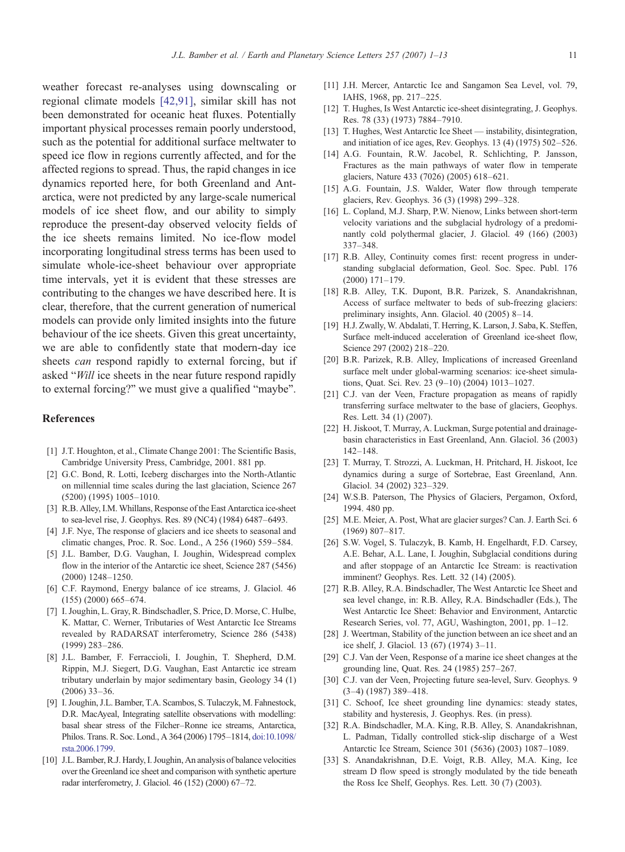<span id="page-10-0"></span>weather forecast re-analyses using downscaling or regional climate models [\[42,91\]](#page-11-0), similar skill has not been demonstrated for oceanic heat fluxes. Potentially important physical processes remain poorly understood, such as the potential for additional surface meltwater to speed ice flow in regions currently affected, and for the affected regions to spread. Thus, the rapid changes in ice dynamics reported here, for both Greenland and Antarctica, were not predicted by any large-scale numerical models of ice sheet flow, and our ability to simply reproduce the present-day observed velocity fields of the ice sheets remains limited. No ice-flow model incorporating longitudinal stress terms has been used to simulate whole-ice-sheet behaviour over appropriate time intervals, yet it is evident that these stresses are contributing to the changes we have described here. It is clear, therefore, that the current generation of numerical models can provide only limited insights into the future behaviour of the ice sheets. Given this great uncertainty, we are able to confidently state that modern-day ice sheets can respond rapidly to external forcing, but if asked "Will ice sheets in the near future respond rapidly to external forcing?" we must give a qualified "maybe".

# References

- [1] J.T. Houghton, et al., Climate Change 2001: The Scientific Basis, Cambridge University Press, Cambridge, 2001. 881 pp.
- [2] G.C. Bond, R. Lotti, Iceberg discharges into the North-Atlantic on millennial time scales during the last glaciation, Science 267 (5200) (1995) 1005–1010.
- [3] R.B. Alley, I.M. Whillans, Response of the East Antarctica ice-sheet to sea-level rise, J. Geophys. Res. 89 (NC4) (1984) 6487–6493.
- [4] J.F. Nye, The response of glaciers and ice sheets to seasonal and climatic changes, Proc. R. Soc. Lond., A 256 (1960) 559–584.
- [5] J.L. Bamber, D.G. Vaughan, I. Joughin, Widespread complex flow in the interior of the Antarctic ice sheet, Science 287 (5456) (2000) 1248–1250.
- [6] C.F. Raymond, Energy balance of ice streams, J. Glaciol. 46 (155) (2000) 665–674.
- [7] I. Joughin, L. Gray, R. Bindschadler, S. Price, D. Morse, C. Hulbe, K. Mattar, C. Werner, Tributaries of West Antarctic Ice Streams revealed by RADARSAT interferometry, Science 286 (5438) (1999) 283–286.
- [8] J.L. Bamber, F. Ferraccioli, I. Joughin, T. Shepherd, D.M. Rippin, M.J. Siegert, D.G. Vaughan, East Antarctic ice stream tributary underlain by major sedimentary basin, Geology 34 (1) (2006) 33–36.
- [9] I. Joughin, J.L. Bamber, T.A. Scambos, S. Tulaczyk, M. Fahnestock, D.R. MacAyeal, Integrating satellite observations with modelling: basal shear stress of the Filcher–Ronne ice streams, Antarctica, Philos. Trans. R. Soc. Lond., A 364 (2006) 1795–1814, doi:10.1098/ rsta.2006.1799.
- [10] J.L. Bamber, R.J. Hardy, I. Joughin, An analysis of balance velocities over the Greenland ice sheet and comparison with synthetic aperture radar interferometry, J. Glaciol. 46 (152) (2000) 67–72.
- [11] J.H. Mercer, Antarctic Ice and Sangamon Sea Level, vol. 79, IAHS, 1968, pp. 217–225.
- [12] T. Hughes, Is West Antarctic ice-sheet disintegrating, J. Geophys. Res. 78 (33) (1973) 7884–7910.
- [13] T. Hughes, West Antarctic Ice Sheet instability, disintegration, and initiation of ice ages, Rev. Geophys. 13 (4) (1975) 502–526.
- [14] A.G. Fountain, R.W. Jacobel, R. Schlichting, P. Jansson, Fractures as the main pathways of water flow in temperate glaciers, Nature 433 (7026) (2005) 618–621.
- [15] A.G. Fountain, J.S. Walder, Water flow through temperate glaciers, Rev. Geophys. 36 (3) (1998) 299–328.
- [16] L. Copland, M.J. Sharp, P.W. Nienow, Links between short-term velocity variations and the subglacial hydrology of a predominantly cold polythermal glacier, J. Glaciol. 49 (166) (2003) 337–348.
- [17] R.B. Alley, Continuity comes first: recent progress in understanding subglacial deformation, Geol. Soc. Spec. Publ. 176 (2000) 171–179.
- [18] R.B. Alley, T.K. Dupont, B.R. Parizek, S. Anandakrishnan, Access of surface meltwater to beds of sub-freezing glaciers: preliminary insights, Ann. Glaciol. 40 (2005) 8–14.
- [19] H.J. Zwally, W. Abdalati, T. Herring, K. Larson, J. Saba, K. Steffen, Surface melt-induced acceleration of Greenland ice-sheet flow, Science 297 (2002) 218–220.
- [20] B.R. Parizek, R.B. Alley, Implications of increased Greenland surface melt under global-warming scenarios: ice-sheet simulations, Quat. Sci. Rev. 23 (9–10) (2004) 1013–1027.
- [21] C.J. van der Veen, Fracture propagation as means of rapidly transferring surface meltwater to the base of glaciers, Geophys. Res. Lett. 34 (1) (2007).
- [22] H. Jiskoot, T. Murray, A. Luckman, Surge potential and drainagebasin characteristics in East Greenland, Ann. Glaciol. 36 (2003) 142–148.
- [23] T. Murray, T. Strozzi, A. Luckman, H. Pritchard, H. Jiskoot, Ice dynamics during a surge of Sortebrae, East Greenland, Ann. Glaciol. 34 (2002) 323–329.
- [24] W.S.B. Paterson, The Physics of Glaciers, Pergamon, Oxford, 1994. 480 pp.
- [25] M.E. Meier, A. Post, What are glacier surges? Can. J. Earth Sci. 6 (1969) 807–817.
- [26] S.W. Vogel, S. Tulaczyk, B. Kamb, H. Engelhardt, F.D. Carsey, A.E. Behar, A.L. Lane, I. Joughin, Subglacial conditions during and after stoppage of an Antarctic Ice Stream: is reactivation imminent? Geophys. Res. Lett. 32 (14) (2005).
- [27] R.B. Alley, R.A. Bindschadler, The West Antarctic Ice Sheet and sea level change, in: R.B. Alley, R.A. Bindschadler (Eds.), The West Antarctic Ice Sheet: Behavior and Environment, Antarctic Research Series, vol. 77, AGU, Washington, 2001, pp. 1–12.
- [28] J. Weertman, Stability of the junction between an ice sheet and an ice shelf, J. Glaciol. 13 (67) (1974) 3–11.
- [29] C.J. Van der Veen, Response of a marine ice sheet changes at the grounding line, Quat. Res. 24 (1985) 257–267.
- [30] C.J. van der Veen, Projecting future sea-level, Surv. Geophys. 9 (3–4) (1987) 389–418.
- [31] C. Schoof, Ice sheet grounding line dynamics: steady states, stability and hysteresis, J. Geophys. Res. (in press).
- [32] R.A. Bindschadler, M.A. King, R.B. Alley, S. Anandakrishnan, L. Padman, Tidally controlled stick-slip discharge of a West Antarctic Ice Stream, Science 301 (5636) (2003) 1087–1089.
- [33] S. Anandakrishnan, D.E. Voigt, R.B. Alley, M.A. King, Ice stream D flow speed is strongly modulated by the tide beneath the Ross Ice Shelf, Geophys. Res. Lett. 30 (7) (2003).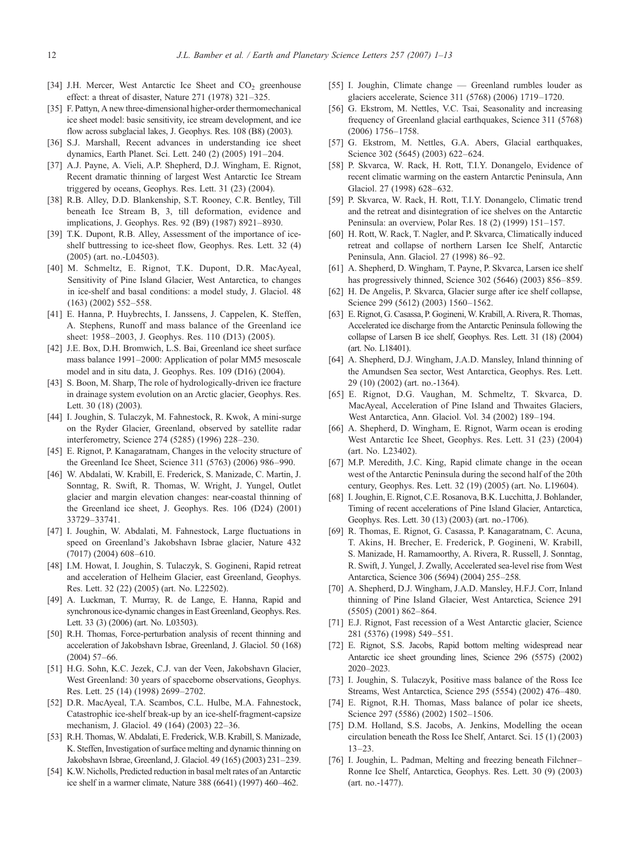- <span id="page-11-0"></span>[34] J.H. Mercer, West Antarctic Ice Sheet and  $CO<sub>2</sub>$  greenhouse effect: a threat of disaster, Nature 271 (1978) 321–325.
- [35] F. Pattyn, A new three-dimensional higher-order thermomechanical ice sheet model: basic sensitivity, ice stream development, and ice flow across subglacial lakes, J. Geophys. Res. 108 (B8) (2003).
- [36] S.J. Marshall, Recent advances in understanding ice sheet dynamics, Earth Planet. Sci. Lett. 240 (2) (2005) 191–204.
- [37] A.J. Payne, A. Vieli, A.P. Shepherd, D.J. Wingham, E. Rignot, Recent dramatic thinning of largest West Antarctic Ice Stream triggered by oceans, Geophys. Res. Lett. 31 (23) (2004).
- [38] R.B. Alley, D.D. Blankenship, S.T. Rooney, C.R. Bentley, Till beneath Ice Stream B, 3, till deformation, evidence and implications, J. Geophys. Res. 92 (B9) (1987) 8921–8930.
- [39] T.K. Dupont, R.B. Alley, Assessment of the importance of iceshelf buttressing to ice-sheet flow, Geophys. Res. Lett. 32 (4) (2005) (art. no.-L04503).
- [40] M. Schmeltz, E. Rignot, T.K. Dupont, D.R. MacAyeal, Sensitivity of Pine Island Glacier, West Antarctica, to changes in ice-shelf and basal conditions: a model study, J. Glaciol. 48 (163) (2002) 552–558.
- [41] E. Hanna, P. Huybrechts, I. Janssens, J. Cappelen, K. Steffen, A. Stephens, Runoff and mass balance of the Greenland ice sheet: 1958–2003, J. Geophys. Res. 110 (D13) (2005).
- [42] J.E. Box, D.H. Bromwich, L.S. Bai, Greenland ice sheet surface mass balance 1991–2000: Application of polar MM5 mesoscale model and in situ data, J. Geophys. Res. 109 (D16) (2004).
- [43] S. Boon, M. Sharp, The role of hydrologically-driven ice fracture in drainage system evolution on an Arctic glacier, Geophys. Res. Lett. 30 (18) (2003).
- [44] I. Joughin, S. Tulaczyk, M. Fahnestock, R. Kwok, A mini-surge on the Ryder Glacier, Greenland, observed by satellite radar interferometry, Science 274 (5285) (1996) 228–230.
- [45] E. Rignot, P. Kanagaratnam, Changes in the velocity structure of the Greenland Ice Sheet, Science 311 (5763) (2006) 986–990.
- [46] W. Abdalati, W. Krabill, E. Frederick, S. Manizade, C. Martin, J. Sonntag, R. Swift, R. Thomas, W. Wright, J. Yungel, Outlet glacier and margin elevation changes: near-coastal thinning of the Greenland ice sheet, J. Geophys. Res. 106 (D24) (2001) 33729–33741.
- [47] I. Joughin, W. Abdalati, M. Fahnestock, Large fluctuations in speed on Greenland's Jakobshavn Isbrae glacier, Nature 432 (7017) (2004) 608–610.
- [48] I.M. Howat, I. Joughin, S. Tulaczyk, S. Gogineni, Rapid retreat and acceleration of Helheim Glacier, east Greenland, Geophys. Res. Lett. 32 (22) (2005) (art. No. L22502).
- [49] A. Luckman, T. Murray, R. de Lange, E. Hanna, Rapid and synchronous ice-dynamic changes in East Greenland, Geophys. Res. Lett. 33 (3) (2006) (art. No. L03503).
- [50] R.H. Thomas, Force-perturbation analysis of recent thinning and acceleration of Jakobshavn Isbrae, Greenland, J. Glaciol. 50 (168) (2004) 57–66.
- [51] H.G. Sohn, K.C. Jezek, C.J. van der Veen, Jakobshavn Glacier, West Greenland: 30 years of spaceborne observations, Geophys. Res. Lett. 25 (14) (1998) 2699–2702.
- [52] D.R. MacAyeal, T.A. Scambos, C.L. Hulbe, M.A. Fahnestock, Catastrophic ice-shelf break-up by an ice-shelf-fragment-capsize mechanism, J. Glaciol. 49 (164) (2003) 22–36.
- [53] R.H. Thomas, W. Abdalati, E. Frederick, W.B. Krabill, S. Manizade, K. Steffen, Investigation of surface melting and dynamic thinning on Jakobshavn Isbrae, Greenland, J. Glaciol. 49 (165) (2003) 231–239.
- [54] K.W. Nicholls, Predicted reduction in basal melt rates of an Antarctic ice shelf in a warmer climate, Nature 388 (6641) (1997) 460–462.
- [55] I. Joughin, Climate change Greenland rumbles louder as glaciers accelerate, Science 311 (5768) (2006) 1719–1720.
- [56] G. Ekstrom, M. Nettles, V.C. Tsai, Seasonality and increasing frequency of Greenland glacial earthquakes, Science 311 (5768) (2006) 1756–1758.
- [57] G. Ekstrom, M. Nettles, G.A. Abers, Glacial earthquakes, Science 302 (5645) (2003) 622–624.
- [58] P. Skvarca, W. Rack, H. Rott, T.I.Y. Donangelo, Evidence of recent climatic warming on the eastern Antarctic Peninsula, Ann Glaciol. 27 (1998) 628–632.
- [59] P. Skvarca, W. Rack, H. Rott, T.I.Y. Donangelo, Climatic trend and the retreat and disintegration of ice shelves on the Antarctic Peninsula: an overview, Polar Res. 18 (2) (1999) 151–157.
- [60] H. Rott, W. Rack, T. Nagler, and P. Skvarca, Climatically induced retreat and collapse of northern Larsen Ice Shelf, Antarctic Peninsula, Ann. Glaciol. 27 (1998) 86–92.
- [61] A. Shepherd, D. Wingham, T. Payne, P. Skvarca, Larsen ice shelf has progressively thinned, Science 302 (5646) (2003) 856–859.
- [62] H. De Angelis, P. Skvarca, Glacier surge after ice shelf collapse, Science 299 (5612) (2003) 1560-1562.
- [63] E. Rignot, G. Casassa, P. Gogineni,W. Krabill, A. Rivera, R. Thomas, Accelerated ice discharge from the Antarctic Peninsula following the collapse of Larsen B ice shelf, Geophys. Res. Lett. 31 (18) (2004) (art. No. L18401).
- [64] A. Shepherd, D.J. Wingham, J.A.D. Mansley, Inland thinning of the Amundsen Sea sector, West Antarctica, Geophys. Res. Lett. 29 (10) (2002) (art. no.-1364).
- [65] E. Rignot, D.G. Vaughan, M. Schmeltz, T. Skvarca, D. MacAyeal, Acceleration of Pine Island and Thwaites Glaciers, West Antarctica, Ann. Glaciol. Vol. 34 (2002) 189–194.
- [66] A. Shepherd, D. Wingham, E. Rignot, Warm ocean is eroding West Antarctic Ice Sheet, Geophys. Res. Lett. 31 (23) (2004) (art. No. L23402).
- [67] M.P. Meredith, J.C. King, Rapid climate change in the ocean west of the Antarctic Peninsula during the second half of the 20th century, Geophys. Res. Lett. 32 (19) (2005) (art. No. L19604).
- [68] I. Joughin, E. Rignot, C.E. Rosanova, B.K. Lucchitta, J. Bohlander, Timing of recent accelerations of Pine Island Glacier, Antarctica, Geophys. Res. Lett. 30 (13) (2003) (art. no.-1706).
- [69] R. Thomas, E. Rignot, G. Casassa, P. Kanagaratnam, C. Acuna, T. Akins, H. Brecher, E. Frederick, P. Gogineni, W. Krabill, S. Manizade, H. Ramamoorthy, A. Rivera, R. Russell, J. Sonntag, R. Swift, J. Yungel, J. Zwally, Accelerated sea-level rise from West Antarctica, Science 306 (5694) (2004) 255–258.
- [70] A. Shepherd, D.J. Wingham, J.A.D. Mansley, H.F.J. Corr, Inland thinning of Pine Island Glacier, West Antarctica, Science 291 (5505) (2001) 862–864.
- [71] E.J. Rignot, Fast recession of a West Antarctic glacier, Science 281 (5376) (1998) 549–551.
- [72] E. Rignot, S.S. Jacobs, Rapid bottom melting widespread near Antarctic ice sheet grounding lines, Science 296 (5575) (2002) 2020–2023.
- [73] I. Joughin, S. Tulaczyk, Positive mass balance of the Ross Ice Streams, West Antarctica, Science 295 (5554) (2002) 476–480.
- [74] E. Rignot, R.H. Thomas, Mass balance of polar ice sheets, Science 297 (5586) (2002) 1502-1506.
- [75] D.M. Holland, S.S. Jacobs, A. Jenkins, Modelling the ocean circulation beneath the Ross Ice Shelf, Antarct. Sci. 15 (1) (2003) 13–23.
- [76] I. Joughin, L. Padman, Melting and freezing beneath Filchner-Ronne Ice Shelf, Antarctica, Geophys. Res. Lett. 30 (9) (2003) (art. no.-1477).